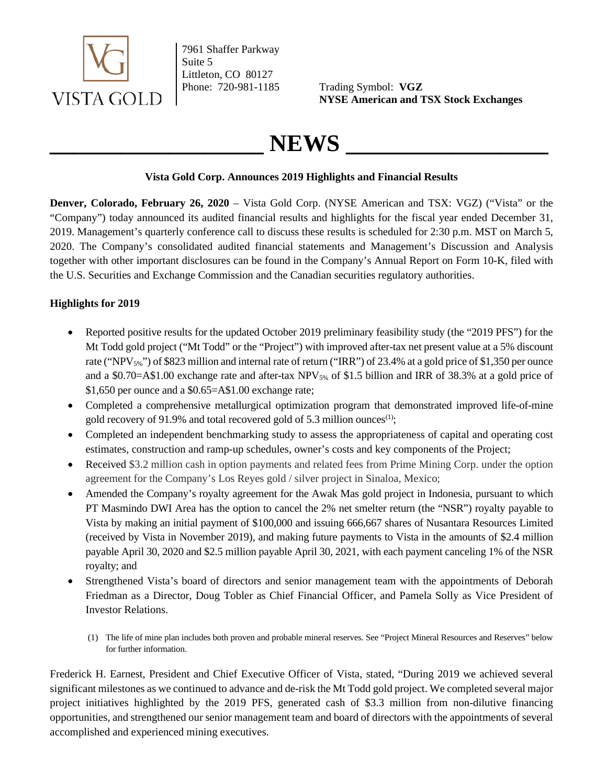

7961 Shaffer Parkway Suite 5 Littleton, CO 80127

Phone: 720-981-1185 Trading Symbol: **VGZ NYSE American and TSX Stock Exchanges**

# $NEWS$

# **Vista Gold Corp. Announces 2019 Highlights and Financial Results**

**Denver, Colorado, February 26, 2020** – Vista Gold Corp. (NYSE American and TSX: VGZ) ("Vista" or the "Company") today announced its audited financial results and highlights for the fiscal year ended December 31, 2019. Management's quarterly conference call to discuss these results is scheduled for 2:30 p.m. MST on March 5, 2020. The Company's consolidated audited financial statements and Management's Discussion and Analysis together with other important disclosures can be found in the Company's Annual Report on Form 10-K, filed with the U.S. Securities and Exchange Commission and the Canadian securities regulatory authorities.

# **Highlights for 2019**

- Reported positive results for the updated October 2019 preliminary feasibility study (the "2019 PFS") for the Mt Todd gold project ("Mt Todd" or the "Project") with improved after-tax net present value at a 5% discount rate ("NPV<sub>5%</sub>") of \$823 million and internal rate of return ("IRR") of 23.4% at a gold price of \$1,350 per ounce and a \$0.70=A\$1.00 exchange rate and after-tax NPV<sub>5%</sub> of \$1.5 billion and IRR of 38.3% at a gold price of \$1,650 per ounce and a \$0.65=A\$1.00 exchange rate;
- Completed a comprehensive metallurgical optimization program that demonstrated improved life-of-mine gold recovery of 91.9% and total recovered gold of 5.3 million ounces<sup>(1)</sup>;
- Completed an independent benchmarking study to assess the appropriateness of capital and operating cost estimates, construction and ramp-up schedules, owner's costs and key components of the Project;
- Received \$3.2 million cash in option payments and related fees from Prime Mining Corp. under the option agreement for the Company's Los Reyes gold / silver project in Sinaloa, Mexico;
- Amended the Company's royalty agreement for the Awak Mas gold project in Indonesia, pursuant to which PT Masmindo DWI Area has the option to cancel the 2% net smelter return (the "NSR") royalty payable to Vista by making an initial payment of \$100,000 and issuing 666,667 shares of Nusantara Resources Limited (received by Vista in November 2019), and making future payments to Vista in the amounts of \$2.4 million payable April 30, 2020 and \$2.5 million payable April 30, 2021, with each payment canceling 1% of the NSR royalty; and
- Strengthened Vista's board of directors and senior management team with the appointments of Deborah Friedman as a Director, Doug Tobler as Chief Financial Officer, and Pamela Solly as Vice President of Investor Relations.
	- (1) The life of mine plan includes both proven and probable mineral reserves. See "Project Mineral Resources and Reserves" below for further information.

Frederick H. Earnest, President and Chief Executive Officer of Vista, stated, "During 2019 we achieved several significant milestones as we continued to advance and de-risk the Mt Todd gold project. We completed several major project initiatives highlighted by the 2019 PFS, generated cash of \$3.3 million from non-dilutive financing opportunities, and strengthened our senior management team and board of directors with the appointments of several accomplished and experienced mining executives.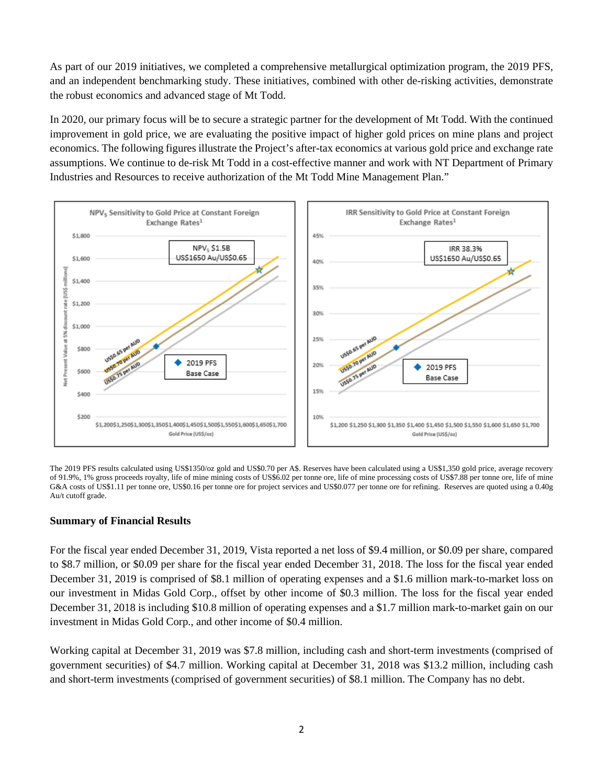As part of our 2019 initiatives, we completed a comprehensive metallurgical optimization program, the 2019 PFS, and an independent benchmarking study. These initiatives, combined with other de-risking activities, demonstrate the robust economics and advanced stage of Mt Todd.

In 2020, our primary focus will be to secure a strategic partner for the development of Mt Todd. With the continued improvement in gold price, we are evaluating the positive impact of higher gold prices on mine plans and project economics. The following figures illustrate the Project's after-tax economics at various gold price and exchange rate assumptions. We continue to de-risk Mt Todd in a cost-effective manner and work with NT Department of Primary Industries and Resources to receive authorization of the Mt Todd Mine Management Plan."



The 2019 PFS results calculated using US\$1350/oz gold and US\$0.70 per A\$. Reserves have been calculated using a US\$1,350 gold price, average recovery of 91.9%, 1% gross proceeds royalty, life of mine mining costs of US\$6.02 per tonne ore, life of mine processing costs of US\$7.88 per tonne ore, life of mine G&A costs of US\$1.11 per tonne ore, US\$0.16 per tonne ore for project services and US\$0.077 per tonne ore for refining. Reserves are quoted using a 0.40g Au/t cutoff grade.

## **Summary of Financial Results**

For the fiscal year ended December 31, 2019, Vista reported a net loss of \$9.4 million, or \$0.09 per share, compared to \$8.7 million, or \$0.09 per share for the fiscal year ended December 31, 2018. The loss for the fiscal year ended December 31, 2019 is comprised of \$8.1 million of operating expenses and a \$1.6 million mark-to-market loss on our investment in Midas Gold Corp., offset by other income of \$0.3 million. The loss for the fiscal year ended December 31, 2018 is including \$10.8 million of operating expenses and a \$1.7 million mark-to-market gain on our investment in Midas Gold Corp., and other income of \$0.4 million.

Working capital at December 31, 2019 was \$7.8 million, including cash and short-term investments (comprised of government securities) of \$4.7 million. Working capital at December 31, 2018 was \$13.2 million, including cash and short-term investments (comprised of government securities) of \$8.1 million. The Company has no debt.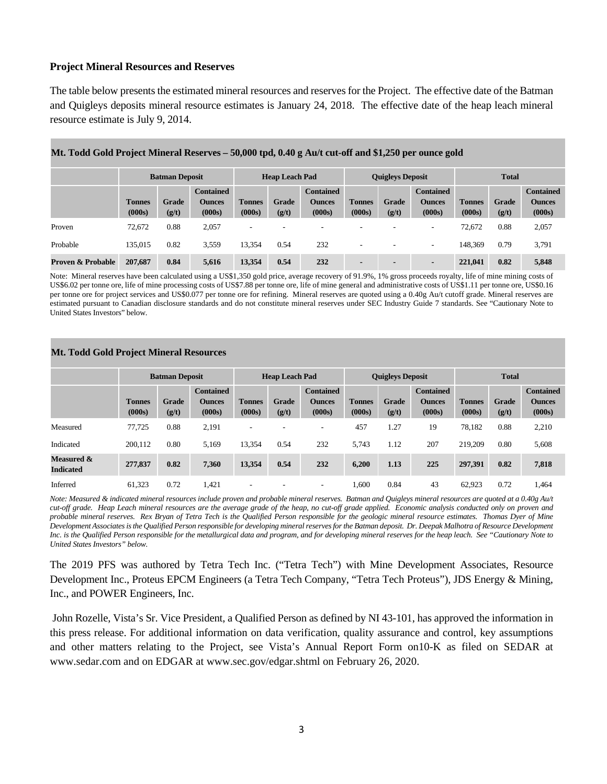## **Project Mineral Resources and Reserves**

The table below presents the estimated mineral resources and reserves for the Project. The effective date of the Batman and Quigleys deposits mineral resource estimates is January 24, 2018. The effective date of the heap leach mineral resource estimate is July 9, 2014.

|                              | <b>Batman Deposit</b>   |                |                                             | <b>Heap Leach Pad</b>   |                |                                             | <b>Quigleys Deposit</b>  |                |                                             | <b>Total</b>            |                |                                             |
|------------------------------|-------------------------|----------------|---------------------------------------------|-------------------------|----------------|---------------------------------------------|--------------------------|----------------|---------------------------------------------|-------------------------|----------------|---------------------------------------------|
|                              | <b>Tonnes</b><br>(000s) | Grade<br>(g/t) | <b>Contained</b><br><b>Ounces</b><br>(000s) | <b>Tonnes</b><br>(000s) | Grade<br>(g/t) | <b>Contained</b><br><b>Ounces</b><br>(000s) | <b>Tonnes</b><br>(000s)  | Grade<br>(g/t) | <b>Contained</b><br><b>Ounces</b><br>(000s) | <b>Tonnes</b><br>(000s) | Grade<br>(g/t) | <b>Contained</b><br><b>Ounces</b><br>(000s) |
| Proven                       | 72.672                  | 0.88           | 2.057                                       | -                       |                | -                                           | $\overline{\phantom{a}}$ |                |                                             | 72.672                  | 0.88           | 2,057                                       |
| Probable                     | 135,015                 | 0.82           | 3.559                                       | 13,354                  | 0.54           | 232                                         | $\overline{\phantom{a}}$ |                | $\overline{\phantom{a}}$                    | 148,369                 | 0.79           | 3,791                                       |
| <b>Proven &amp; Probable</b> | 207,687                 | 0.84           | 5,616                                       | 13,354                  | 0.54           | 232                                         | $\overline{\phantom{0}}$ |                | $\blacksquare$                              | 221,041                 | 0.82           | 5,848                                       |

#### **Mt. Todd Gold Project Mineral Reserves – 50,000 tpd, 0.40 g Au/t cut-off and \$1,250 per ounce gold**

Note: Mineral reserves have been calculated using a US\$1,350 gold price, average recovery of 91.9%, 1% gross proceeds royalty, life of mine mining costs of US\$6.02 per tonne ore, life of mine processing costs of US\$7.88 per tonne ore, life of mine general and administrative costs of US\$1.11 per tonne ore, US\$0.16 per tonne ore for project services and US\$0.077 per tonne ore for refining. Mineral reserves are quoted using a 0.40g Au/t cutoff grade. Mineral reserves are estimated pursuant to Canadian disclosure standards and do not constitute mineral reserves under SEC Industry Guide 7 standards. See "Cautionary Note to United States Investors" below.

#### **Mt. Todd Gold Project Mineral Resources**

|                                | <b>Batman Deposit</b>   |                |                         | <b>Heap Leach Pad</b>   |                |                          | <b>Quigleys Deposit</b> |                       |                         | <b>Total</b>            |                       |                         |
|--------------------------------|-------------------------|----------------|-------------------------|-------------------------|----------------|--------------------------|-------------------------|-----------------------|-------------------------|-------------------------|-----------------------|-------------------------|
|                                |                         |                | <b>Contained</b>        |                         |                | <b>Contained</b>         |                         |                       | <b>Contained</b>        |                         |                       | <b>Contained</b>        |
|                                | <b>Tonnes</b><br>(000s) | Grade<br>(g/t) | <b>Ounces</b><br>(000s) | <b>Tonnes</b><br>(000s) | Grade<br>(g/t) | <b>Ounces</b><br>(000s)  | <b>Tonnes</b><br>(000s) | <b>Grade</b><br>(g/t) | <b>Ounces</b><br>(000s) | <b>Tonnes</b><br>(000s) | <b>Grade</b><br>(g/t) | <b>Ounces</b><br>(000s) |
| Measured                       | 77.725                  | 0.88           | 2.191                   | ۰                       |                | $\overline{\phantom{a}}$ | 457                     | 1.27                  | 19                      | 78.182                  | 0.88                  | 2,210                   |
| Indicated                      | 200,112                 | 0.80           | 5.169                   | 13.354                  | 0.54           | 232                      | 5.743                   | 1.12                  | 207                     | 219,209                 | 0.80                  | 5,608                   |
| Measured &<br><b>Indicated</b> | 277,837                 | 0.82           | 7,360                   | 13,354                  | 0.54           | 232                      | 6,200                   | 1.13                  | 225                     | 297,391                 | 0.82                  | 7,818                   |
| Inferred                       | 61.323                  | 0.72           | 1.421                   | ۰                       |                | $\overline{\phantom{a}}$ | 1.600                   | 0.84                  | 43                      | 62.923                  | 0.72                  | 1.464                   |

*Note: Measured & indicated mineral resources include proven and probable mineral reserves. Batman and Quigleys mineral resources are quoted at a 0.40g Au/t cut-off grade. Heap Leach mineral resources are the average grade of the heap, no cut-off grade applied. Economic analysis conducted only on proven and probable mineral reserves. Rex Bryan of Tetra Tech is the Qualified Person responsible for the geologic mineral resource estimates. Thomas Dyer of Mine Development Associates is the Qualified Person responsible for developing mineral reserves for the Batman deposit. Dr. Deepak Malhotra of Resource Development Inc. is the Qualified Person responsible for the metallurgical data and program, and for developing mineral reserves for the heap leach. See "Cautionary Note to United States Investors" below.*

The 2019 PFS was authored by Tetra Tech Inc. ("Tetra Tech") with Mine Development Associates, Resource Development Inc., Proteus EPCM Engineers (a Tetra Tech Company, "Tetra Tech Proteus"), JDS Energy & Mining, Inc., and POWER Engineers, Inc.

John Rozelle, Vista's Sr. Vice President, a Qualified Person as defined by NI 43-101, has approved the information in this press release. For additional information on data verification, quality assurance and control, key assumptions and other matters relating to the Project, see Vista's Annual Report Form on10-K as filed on SEDAR at www.sedar.com and on EDGAR at www.sec.gov/edgar.shtml on February 26, 2020.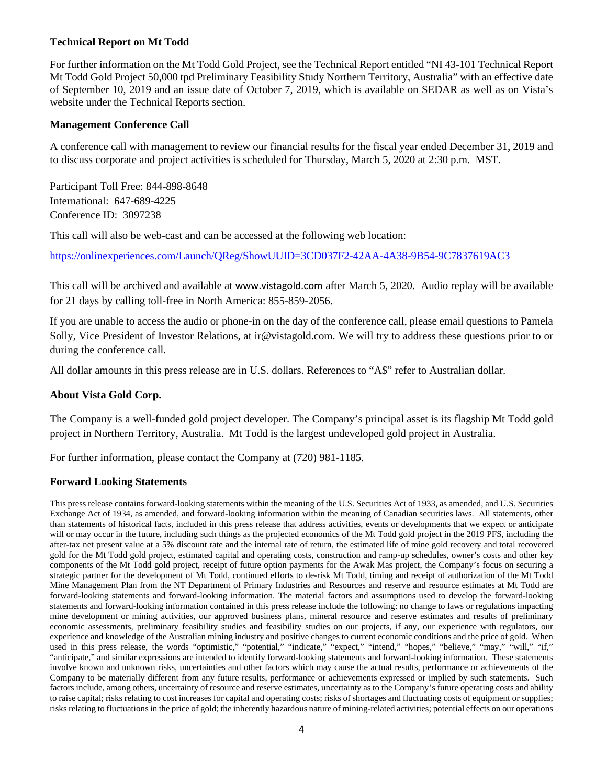## **Technical Report on Mt Todd**

For further information on the Mt Todd Gold Project, see the Technical Report entitled "NI 43-101 Technical Report Mt Todd Gold Project 50,000 tpd Preliminary Feasibility Study Northern Territory, Australia" with an effective date of September 10, 2019 and an issue date of October 7, 2019, which is available on SEDAR as well as on Vista's website under the Technical Reports section.

## **Management Conference Call**

A conference call with management to review our financial results for the fiscal year ended December 31, 2019 and to discuss corporate and project activities is scheduled for Thursday, March 5, 2020 at 2:30 p.m. MST.

Participant Toll Free: 844-898-8648 International: 647-689-4225 Conference ID: 3097238

This call will also be web-cast and can be accessed at the following web location:

[https://onlinexperiences.com/Launch/QReg/ShowUUID=3CD037F2-42AA-4A38-9B54-9C7837619AC3](https://linkprotect.cudasvc.com/url?a=https%3a%2f%2fonlinexperiences.com%2fLaunch%2fQReg%2fShowUUID%3d3CD037F2-42AA-4A38-9B54-9C7837619AC3&c=E,1,VgIpV-yBGkRy3NR1M3a0IHuzX8pGKJ-7GWe0eLvlUAjWhO4y315vioSSaId5EgQ_Rvtva0OgfQFQEPCYqxJhXLX0T-qbxhmbHOg0tgdeLSbc0THwJ3sko-zk&typo=1)

This call will be archived and available at [www.vistagold.com](http://www.vistagold.com/) after March 5, 2020. Audio replay will be available for 21 days by calling toll-free in North America: 855-859-2056.

If you are unable to access the audio or phone-in on the day of the conference call, please email questions to Pamela Solly, Vice President of Investor Relations, at ir@vistagold.com. We will try to address these questions prior to or during the conference call.

All dollar amounts in this press release are in U.S. dollars. References to "A\$" refer to Australian dollar.

## **About Vista Gold Corp.**

The Company is a well-funded gold project developer. The Company's principal asset is its flagship Mt Todd gold project in Northern Territory, Australia. Mt Todd is the largest undeveloped gold project in Australia.

For further information, please contact the Company at (720) 981-1185.

## **Forward Looking Statements**

This press release contains forward-looking statements within the meaning of the U.S. Securities Act of 1933, as amended, and U.S. Securities Exchange Act of 1934, as amended, and forward-looking information within the meaning of Canadian securities laws. All statements, other than statements of historical facts, included in this press release that address activities, events or developments that we expect or anticipate will or may occur in the future, including such things as the projected economics of the Mt Todd gold project in the 2019 PFS, including the after-tax net present value at a 5% discount rate and the internal rate of return, the estimated life of mine gold recovery and total recovered gold for the Mt Todd gold project, estimated capital and operating costs, construction and ramp-up schedules, owner's costs and other key components of the Mt Todd gold project, receipt of future option payments for the Awak Mas project, the Company's focus on securing a strategic partner for the development of Mt Todd, continued efforts to de-risk Mt Todd, timing and receipt of authorization of the Mt Todd Mine Management Plan from the NT Department of Primary Industries and Resources and reserve and resource estimates at Mt Todd are forward-looking statements and forward-looking information. The material factors and assumptions used to develop the forward-looking statements and forward-looking information contained in this press release include the following: no change to laws or regulations impacting mine development or mining activities, our approved business plans, mineral resource and reserve estimates and results of preliminary economic assessments, preliminary feasibility studies and feasibility studies on our projects, if any, our experience with regulators, our experience and knowledge of the Australian mining industry and positive changes to current economic conditions and the price of gold. When used in this press release, the words "optimistic," "potential," "indicate," "expect," "intend," "hopes," "believe," "may," "will," "if," "anticipate," and similar expressions are intended to identify forward-looking statements and forward-looking information. These statements involve known and unknown risks, uncertainties and other factors which may cause the actual results, performance or achievements of the Company to be materially different from any future results, performance or achievements expressed or implied by such statements. Such factors include, among others, uncertainty of resource and reserve estimates, uncertainty as to the Company's future operating costs and ability to raise capital; risks relating to cost increases for capital and operating costs; risks of shortages and fluctuating costs of equipment or supplies; risks relating to fluctuations in the price of gold; the inherently hazardous nature of mining-related activities; potential effects on our operations